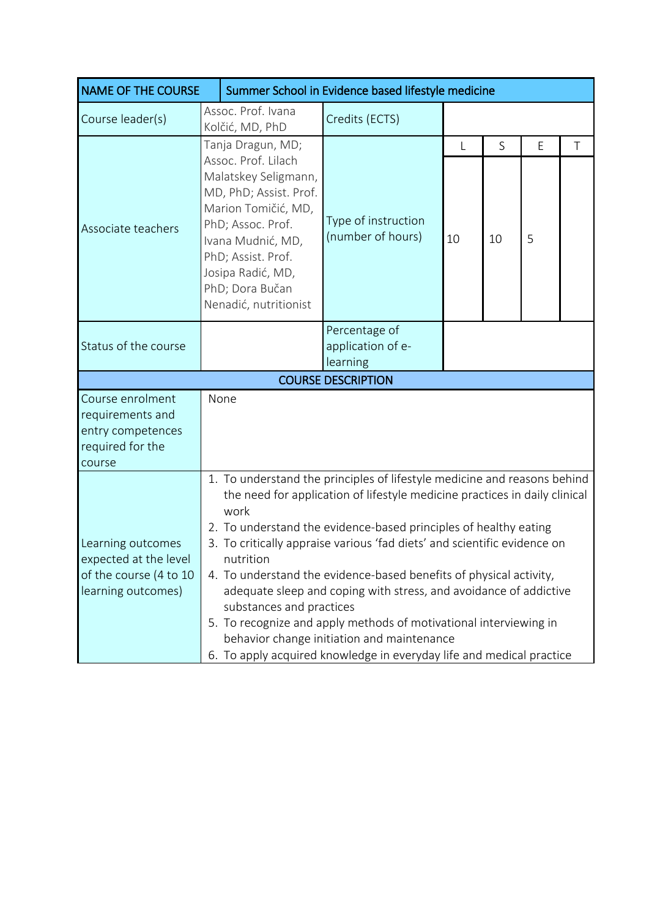| <b>NAME OF THE COURSE</b>                                                                  | Summer School in Evidence based lifestyle medicine                                                                                                                                                                                                                                                                                                                                                                                                                                                                                                                                                                                                                                            |                                          |                 |         |        |        |
|--------------------------------------------------------------------------------------------|-----------------------------------------------------------------------------------------------------------------------------------------------------------------------------------------------------------------------------------------------------------------------------------------------------------------------------------------------------------------------------------------------------------------------------------------------------------------------------------------------------------------------------------------------------------------------------------------------------------------------------------------------------------------------------------------------|------------------------------------------|-----------------|---------|--------|--------|
| Course leader(s)                                                                           | Assoc. Prof. Ivana<br>Kolčić, MD, PhD                                                                                                                                                                                                                                                                                                                                                                                                                                                                                                                                                                                                                                                         | Credits (ECTS)                           |                 |         |        |        |
| Associate teachers                                                                         | Tanja Dragun, MD;<br>Assoc. Prof. Lilach<br>Malatskey Seligmann,<br>MD, PhD; Assist. Prof.<br>Marion Tomičić, MD,<br>PhD; Assoc. Prof.<br>Ivana Mudnić, MD,<br>PhD; Assist. Prof.<br>Josipa Radić, MD,<br>PhD; Dora Bučan<br>Nenadić, nutritionist                                                                                                                                                                                                                                                                                                                                                                                                                                            | Type of instruction<br>(number of hours) | $\lfloor$<br>10 | S<br>10 | E<br>5 | $\top$ |
| Status of the course                                                                       | Percentage of<br>application of e-<br>learning                                                                                                                                                                                                                                                                                                                                                                                                                                                                                                                                                                                                                                                |                                          |                 |         |        |        |
|                                                                                            |                                                                                                                                                                                                                                                                                                                                                                                                                                                                                                                                                                                                                                                                                               | <b>COURSE DESCRIPTION</b>                |                 |         |        |        |
| Course enrolment<br>requirements and<br>entry competences<br>required for the<br>course    | None                                                                                                                                                                                                                                                                                                                                                                                                                                                                                                                                                                                                                                                                                          |                                          |                 |         |        |        |
| Learning outcomes<br>expected at the level<br>of the course (4 to 10<br>learning outcomes) | 1. To understand the principles of lifestyle medicine and reasons behind<br>the need for application of lifestyle medicine practices in daily clinical<br>work<br>2. To understand the evidence-based principles of healthy eating<br>3. To critically appraise various 'fad diets' and scientific evidence on<br>nutrition<br>4. To understand the evidence-based benefits of physical activity,<br>adequate sleep and coping with stress, and avoidance of addictive<br>substances and practices<br>5. To recognize and apply methods of motivational interviewing in<br>behavior change initiation and maintenance<br>6. To apply acquired knowledge in everyday life and medical practice |                                          |                 |         |        |        |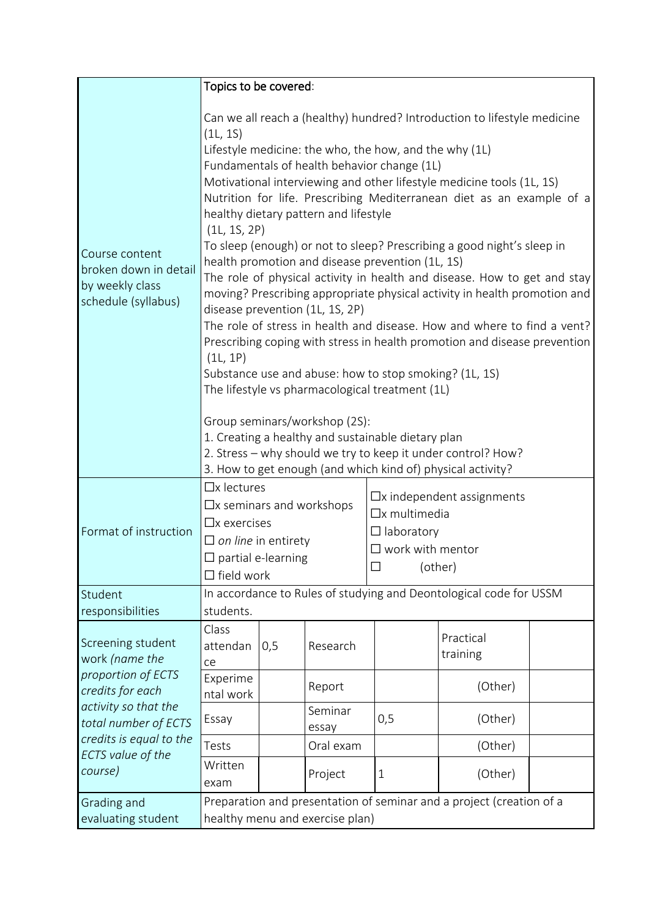|                                                                                                                                                                                                                     | Topics to be covered:                                                                                                                                                                                                                                                                                                                                                                                                                                                                                                                                                                                                                                                                                                                                                                                                                                                                                                                                                                                                                                                                                                                                                                                                                     |     |                  |                                                                                                                                 |                                                                    |  |
|---------------------------------------------------------------------------------------------------------------------------------------------------------------------------------------------------------------------|-------------------------------------------------------------------------------------------------------------------------------------------------------------------------------------------------------------------------------------------------------------------------------------------------------------------------------------------------------------------------------------------------------------------------------------------------------------------------------------------------------------------------------------------------------------------------------------------------------------------------------------------------------------------------------------------------------------------------------------------------------------------------------------------------------------------------------------------------------------------------------------------------------------------------------------------------------------------------------------------------------------------------------------------------------------------------------------------------------------------------------------------------------------------------------------------------------------------------------------------|-----|------------------|---------------------------------------------------------------------------------------------------------------------------------|--------------------------------------------------------------------|--|
| Course content<br>broken down in detail<br>by weekly class<br>schedule (syllabus)                                                                                                                                   | Can we all reach a (healthy) hundred? Introduction to lifestyle medicine<br>(1L, 1S)<br>Lifestyle medicine: the who, the how, and the why (1L)<br>Fundamentals of health behavior change (1L)<br>Motivational interviewing and other lifestyle medicine tools (1L, 1S)<br>Nutrition for life. Prescribing Mediterranean diet as an example of a<br>healthy dietary pattern and lifestyle<br>(1L, 1S, 2P)<br>To sleep (enough) or not to sleep? Prescribing a good night's sleep in<br>health promotion and disease prevention (1L, 1S)<br>The role of physical activity in health and disease. How to get and stay<br>moving? Prescribing appropriate physical activity in health promotion and<br>disease prevention (1L, 1S, 2P)<br>The role of stress in health and disease. How and where to find a vent?<br>Prescribing coping with stress in health promotion and disease prevention<br>(1L, 1P)<br>Substance use and abuse: how to stop smoking? (1L, 1S)<br>The lifestyle vs pharmacological treatment (1L)<br>Group seminars/workshop (2S):<br>1. Creating a healthy and sustainable dietary plan<br>2. Stress - why should we try to keep it under control? How?<br>3. How to get enough (and which kind of) physical activity? |     |                  |                                                                                                                                 |                                                                    |  |
| Format of instruction                                                                                                                                                                                               | $\Box$ x lectures<br>$\Box$ x seminars and workshops<br>$\Box$ x exercises<br>$\Box$ on line in entirety<br>$\Box$ partial e-learning<br>$\Box$ field work                                                                                                                                                                                                                                                                                                                                                                                                                                                                                                                                                                                                                                                                                                                                                                                                                                                                                                                                                                                                                                                                                |     |                  | $\Box$ x independent assignments<br>$\Box$ x multimedia<br>$\Box$ laboratory<br>$\square$ work with mentor<br>$\square$ (other) |                                                                    |  |
| Student                                                                                                                                                                                                             | students.                                                                                                                                                                                                                                                                                                                                                                                                                                                                                                                                                                                                                                                                                                                                                                                                                                                                                                                                                                                                                                                                                                                                                                                                                                 |     |                  |                                                                                                                                 | In accordance to Rules of studying and Deontological code for USSM |  |
| responsibilities<br>Screening student<br>work (name the<br>proportion of ECTS<br>credits for each<br>activity so that the<br>total number of ECTS<br>credits is equal to the<br><b>ECTS</b> value of the<br>course) | Class<br>attendan<br>ce                                                                                                                                                                                                                                                                                                                                                                                                                                                                                                                                                                                                                                                                                                                                                                                                                                                                                                                                                                                                                                                                                                                                                                                                                   | 0,5 | Research         |                                                                                                                                 | Practical<br>training                                              |  |
|                                                                                                                                                                                                                     | Experime<br>ntal work                                                                                                                                                                                                                                                                                                                                                                                                                                                                                                                                                                                                                                                                                                                                                                                                                                                                                                                                                                                                                                                                                                                                                                                                                     |     | Report           |                                                                                                                                 | (Other)                                                            |  |
|                                                                                                                                                                                                                     | Essay                                                                                                                                                                                                                                                                                                                                                                                                                                                                                                                                                                                                                                                                                                                                                                                                                                                                                                                                                                                                                                                                                                                                                                                                                                     |     | Seminar<br>essay | 0,5                                                                                                                             | (Other)                                                            |  |
|                                                                                                                                                                                                                     | Tests                                                                                                                                                                                                                                                                                                                                                                                                                                                                                                                                                                                                                                                                                                                                                                                                                                                                                                                                                                                                                                                                                                                                                                                                                                     |     | Oral exam        |                                                                                                                                 | (Other)                                                            |  |
|                                                                                                                                                                                                                     | Written<br>exam                                                                                                                                                                                                                                                                                                                                                                                                                                                                                                                                                                                                                                                                                                                                                                                                                                                                                                                                                                                                                                                                                                                                                                                                                           |     | Project          | $\mathbf{1}$                                                                                                                    | (Other)                                                            |  |
| Grading and<br>evaluating student                                                                                                                                                                                   | Preparation and presentation of seminar and a project (creation of a<br>healthy menu and exercise plan)                                                                                                                                                                                                                                                                                                                                                                                                                                                                                                                                                                                                                                                                                                                                                                                                                                                                                                                                                                                                                                                                                                                                   |     |                  |                                                                                                                                 |                                                                    |  |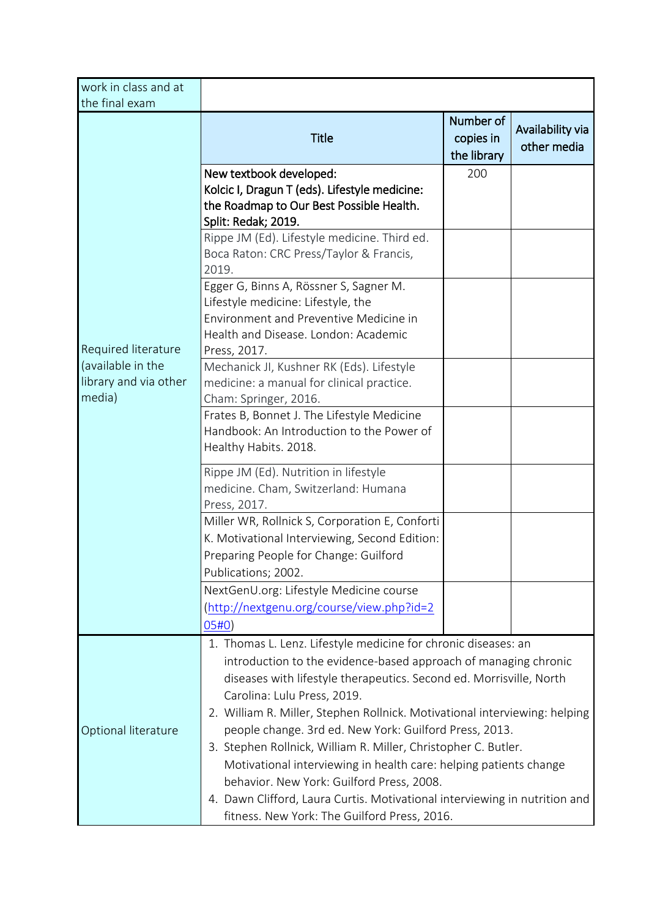| work in class and at<br>the final exam                                      |                                                                                                                                                                                                                                                                                                                                                                                                                                                   |                                       |                                 |  |  |
|-----------------------------------------------------------------------------|---------------------------------------------------------------------------------------------------------------------------------------------------------------------------------------------------------------------------------------------------------------------------------------------------------------------------------------------------------------------------------------------------------------------------------------------------|---------------------------------------|---------------------------------|--|--|
| Required literature<br>(available in the<br>library and via other<br>media) | <b>Title</b>                                                                                                                                                                                                                                                                                                                                                                                                                                      | Number of<br>copies in<br>the library | Availability via<br>other media |  |  |
|                                                                             | New textbook developed:<br>Kolcic I, Dragun T (eds). Lifestyle medicine:<br>the Roadmap to Our Best Possible Health.<br>Split: Redak; 2019.                                                                                                                                                                                                                                                                                                       | 200                                   |                                 |  |  |
|                                                                             | Rippe JM (Ed). Lifestyle medicine. Third ed.<br>Boca Raton: CRC Press/Taylor & Francis,<br>2019.                                                                                                                                                                                                                                                                                                                                                  |                                       |                                 |  |  |
|                                                                             | Egger G, Binns A, Rössner S, Sagner M.<br>Lifestyle medicine: Lifestyle, the<br><b>Environment and Preventive Medicine in</b><br>Health and Disease. London: Academic<br>Press, 2017.                                                                                                                                                                                                                                                             |                                       |                                 |  |  |
|                                                                             | Mechanick JI, Kushner RK (Eds). Lifestyle<br>medicine: a manual for clinical practice.<br>Cham: Springer, 2016.                                                                                                                                                                                                                                                                                                                                   |                                       |                                 |  |  |
|                                                                             | Frates B, Bonnet J. The Lifestyle Medicine<br>Handbook: An Introduction to the Power of<br>Healthy Habits. 2018.                                                                                                                                                                                                                                                                                                                                  |                                       |                                 |  |  |
|                                                                             | Rippe JM (Ed). Nutrition in lifestyle<br>medicine. Cham, Switzerland: Humana<br>Press, 2017.                                                                                                                                                                                                                                                                                                                                                      |                                       |                                 |  |  |
|                                                                             | Miller WR, Rollnick S, Corporation E, Conforti<br>K. Motivational Interviewing, Second Edition:<br>Preparing People for Change: Guilford<br>Publications; 2002.                                                                                                                                                                                                                                                                                   |                                       |                                 |  |  |
|                                                                             | NextGenU.org: Lifestyle Medicine course<br>(http://nextgenu.org/course/view.php?id=2<br>05#0)                                                                                                                                                                                                                                                                                                                                                     |                                       |                                 |  |  |
| Optional literature                                                         | 1. Thomas L. Lenz. Lifestyle medicine for chronic diseases: an<br>introduction to the evidence-based approach of managing chronic<br>diseases with lifestyle therapeutics. Second ed. Morrisville, North<br>Carolina: Lulu Press, 2019.<br>2. William R. Miller, Stephen Rollnick. Motivational interviewing: helping<br>people change. 3rd ed. New York: Guilford Press, 2013.<br>3. Stephen Rollnick, William R. Miller, Christopher C. Butler. |                                       |                                 |  |  |
|                                                                             | Motivational interviewing in health care: helping patients change<br>behavior. New York: Guilford Press, 2008.<br>4. Dawn Clifford, Laura Curtis. Motivational interviewing in nutrition and<br>fitness. New York: The Guilford Press, 2016.                                                                                                                                                                                                      |                                       |                                 |  |  |